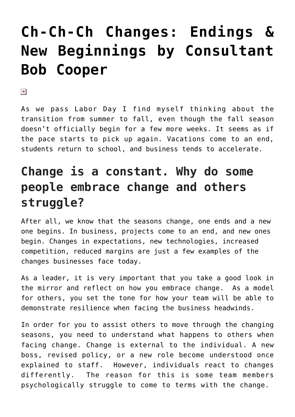## **[Ch-Ch-Ch Changes: Endings &](https://managemypractice.com/ch-ch-ch-changes-endings-new-beginnings-by-consultant-bob-cooper/) [New Beginnings by Consultant](https://managemypractice.com/ch-ch-ch-changes-endings-new-beginnings-by-consultant-bob-cooper/) [Bob Cooper](https://managemypractice.com/ch-ch-ch-changes-endings-new-beginnings-by-consultant-bob-cooper/)**

 $\pmb{\times}$ 

As we pass Labor Day I find myself thinking about the transition from summer to fall, even though the fall season doesn't officially begin for a few more weeks. It seems as if the pace starts to pick up again. Vacations come to an end, students return to school, and business tends to accelerate.

## **Change is a constant. Why do some people embrace change and others struggle?**

After all, we know that the seasons change, one ends and a new one begins. In business, projects come to an end, and new ones begin. Changes in expectations, new technologies, increased competition, reduced margins are just a few examples of the changes businesses face today.

As a leader, it is very important that you take a good look in the mirror and reflect on how you embrace change. As a model for others, you set the tone for how your team will be able to demonstrate resilience when facing the business headwinds.

In order for you to assist others to move through the changing seasons, you need to understand what happens to others when facing change. Change is external to the individual. A new boss, revised policy, or a new role become understood once explained to staff. However, individuals react to changes differently. The reason for this is some team members psychologically struggle to come to terms with the change.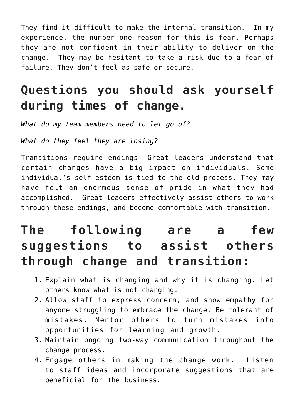They find it difficult to make the internal transition. In my experience, the number one reason for this is fear. Perhaps they are not confident in their ability to deliver on the change. They may be hesitant to take a risk due to a fear of failure. They don't feel as safe or secure.

## **Questions you should ask yourself during times of change.**

*What do my team members need to let go of?*

*What do they feel they are losing?*

Transitions require endings. Great leaders understand that certain changes have a big impact on individuals. Some individual's self-esteem is tied to the old process. They may have felt an enormous sense of pride in what they had accomplished. Great leaders effectively assist others to work through these endings, and become comfortable with transition.

## **The following are a few suggestions to assist others through change and transition:**

- 1. Explain what is changing and why it is changing. Let others know what is not changing.
- 2. Allow staff to express concern, and show empathy for anyone struggling to embrace the change. Be tolerant of mistakes. Mentor others to turn mistakes into opportunities for learning and growth.
- 3. Maintain ongoing two-way communication throughout the change process.
- 4. Engage others in making the change work. Listen to staff ideas and incorporate suggestions that are beneficial for the business.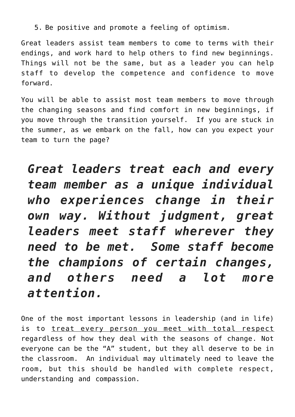5. Be positive and promote a feeling of optimism.

Great leaders assist team members to come to terms with their endings, and work hard to help others to find new beginnings. Things will not be the same, but as a leader you can help staff to develop the competence and confidence to move forward.

You will be able to assist most team members to move through the changing seasons and find comfort in new beginnings, if you move through the transition yourself. If you are stuck in the summer, as we embark on the fall, how can you expect your team to turn the page?

*Great leaders treat each and every team member as a unique individual who experiences change in their own way. Without judgment, great leaders meet staff wherever they need to be met. Some staff become the champions of certain changes, and others need a lot more attention.*

One of the most important lessons in leadership (and in life) is to treat every person you meet with total respect regardless of how they deal with the seasons of change. Not everyone can be the "A" student, but they all deserve to be in the classroom. An individual may ultimately need to leave the room, but this should be handled with complete respect, understanding and compassion.